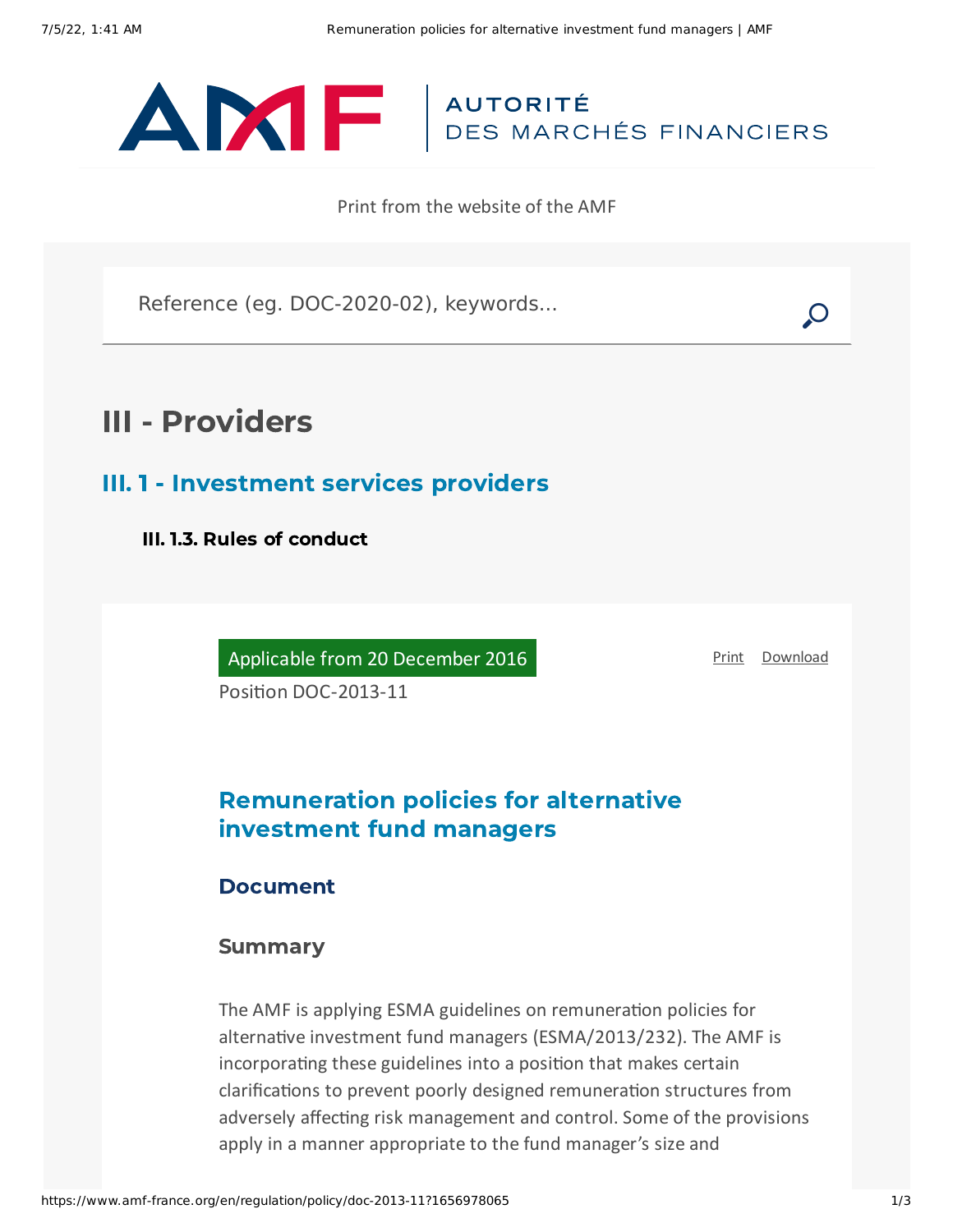

Print from the website of the AMF

Reference (eg. DOC-2020-02), keywords...

# III - Providers

III. 1 - Investment services providers

III. 1.3. Rules of conduct

Applicable from 20 December 2016

[Print](javascript:window.print()) [Download](https://www.amf-france.org/sites/default/files/pdf/62912/en/Remuneration_policies_for_alternative_investment_fund_managers.pdf?1656978066)

Position DOC-2013-11

## Remuneration policies for alternative investment fund managers

### Document

### **Summary**

The AMF is applying ESMA guidelines on remuneration policies for alternative investment fund managers (ESMA/2013/232). The AMF is incorporating these guidelines into a position that makes certain clarifications to prevent poorly designed remuneration structures from adversely affecting risk management and control. Some of the provisions apply in a manner appropriate to the fund manager's size and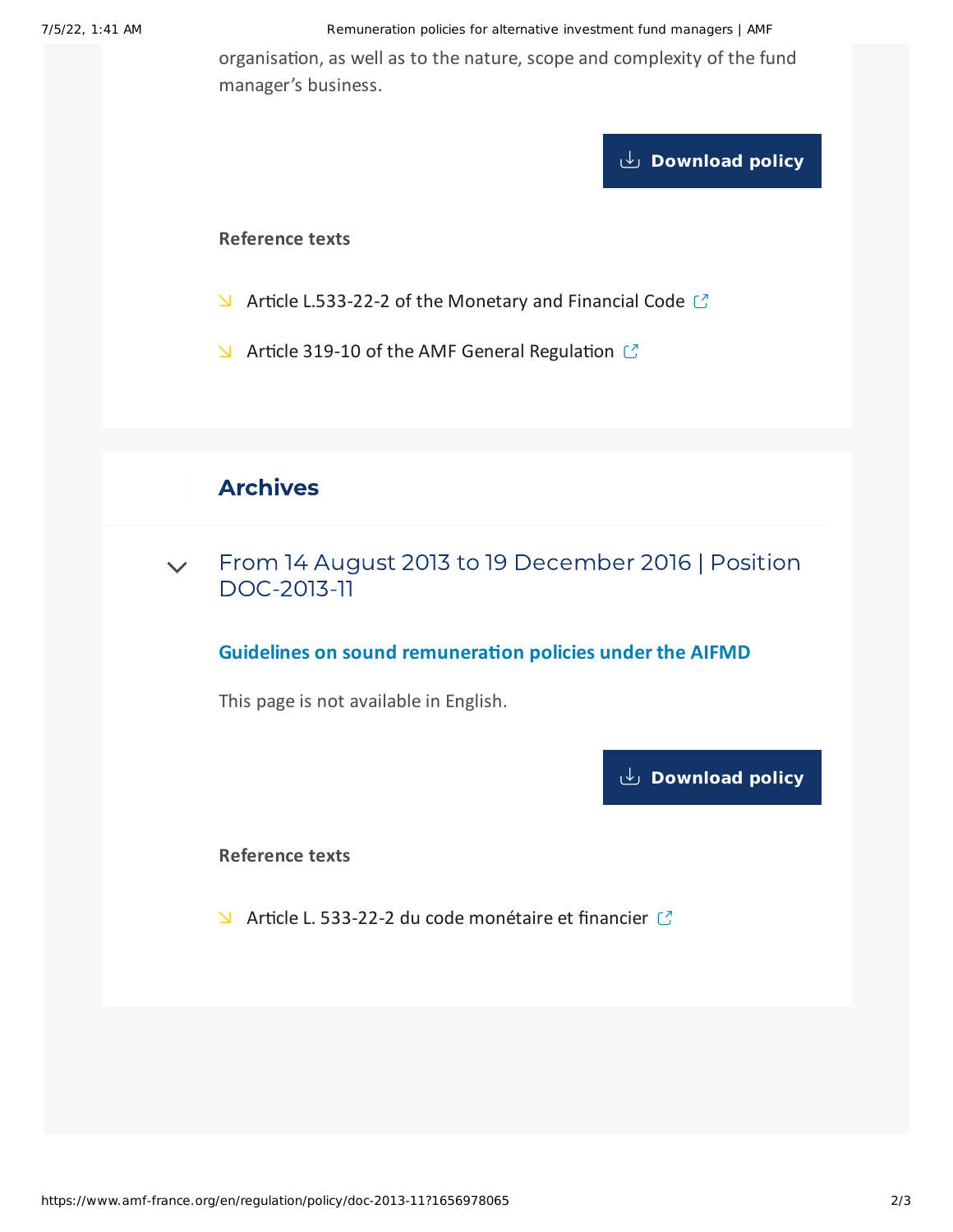#### 7/5/22, 1:41 AM Remuneration policies for alternative investment fund managers | AMF

organisation, as well as to the nature, scope and complexity of the fund manager's business.

## **[Download](https://www.amf-france.org/sites/default/files/doctrine/Position/Remuneration%20policies%20for%20alternative%20investment%20fund%20managers.pdf) policy**

#### **Reference texts**

- $\blacktriangleright$  Article [L.533-22-2](https://www.legifrance.gouv.fr/affichCodeArticle.do?cidTexte=LEGITEXT000006072026&idArticle=LEGIARTI000027764714) of the Monetary and Financial Code  $\heartsuit$
- $\blacktriangleright$  Article 319-10 of the AMF General [Regulation](https://reglement-general.amf-france.org/eli/fr/aai/amf/rg/en.html)  $\heartsuit$

## Archives

From 14 August 2013 to 19 December 2016 | Position [DOC-2013-11](#page-1-0)  $\vee$ 

### **Guidelines on sound remuneration policies under the AIFMD**

<span id="page-1-0"></span>This page is not available in English.

**[Download](https://www.amf-france.org/sites/default/files/pdf/62912/en/Remuneration_policies_for_alternative_investment_fund_managers.pdf?1656978066?1656978066) policy**

**Reference texts**

 $\blacktriangleright$  Article L. 533-22-2 du code [monétaire](http://www.legifrance.gouv.fr/affichCode.do?cidTexte=LEGITEXT000006072026) et financier  $\binom{7}{2}$